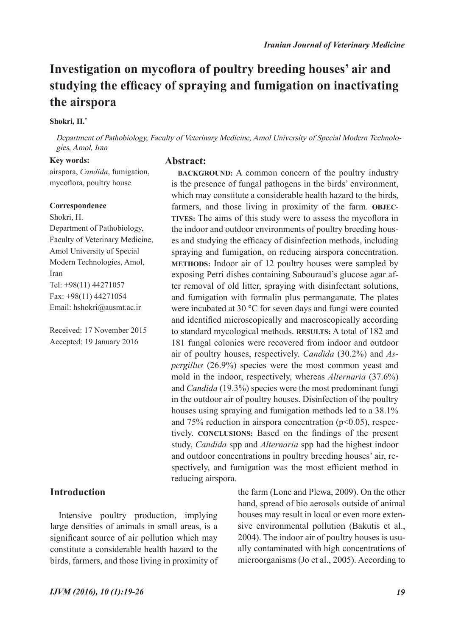# **Investigation on mycoflora of poultry breeding houses' air and studying the efficacy of spraying and fumigation on inactivating the airspora**

### **Shokri, H.\***

Department of Pathobiology, Faculty of Veterinary Medicine, Amol University of Special Modern Technologies, Amol, Iran

> is the presence of fungal pathogens in the birds' environment, which may constitute a considerable health hazard to the birds, farmers, and those living in proximity of the farm. **OBJEC-TIVES:** The aims of this study were to assess the mycoflora in the indoor and outdoor environments of poultry breeding houses and studying the efficacy of disinfection methods, including spraying and fumigation, on reducing airspora concentration. **METHODS:** Indoor air of 12 poultry houses were sampled by exposing Petri dishes containing Sabouraud's glucose agar after removal of old litter, spraying with disinfectant solutions, and fumigation with formalin plus permanganate. The plates were incubated at 30 °C for seven days and fungi were counted and identified microscopically and macroscopically according to standard mycological methods. **RESULTS:** A total of 182 and 181 fungal colonies were recovered from indoor and outdoor air of poultry houses, respectively. *Candida* (30.2%) and *Aspergillus* (26.9%) species were the most common yeast and mold in the indoor, respectively, whereas *Alternaria* (37.6%) and *Candida* (19.3%) species were the most predominant fungi in the outdoor air of poultry houses. Disinfection of the poultry houses using spraying and fumigation methods led to a 38.1% and 75% reduction in airspora concentration ( $p<0.05$ ), respectively. **CONCLUSIONS:** Based on the findings of the present study, *Candida* spp and *Alternaria* spp had the highest indoor and outdoor concentrations in poultry breeding houses' air, respectively, and fumigation was the most efficient method in

#### **Key words:**

**Abstract: BACKGROUND:** A common concern of the poultry industry

airspora, *Candida*, fumigation, mycoflora, poultry house

#### **Correspondence**

Shokri, H. Department of Pathobiology, Faculty of Veterinary Medicine, Amol University of Special Modern Technologies, Amol, Iran Tel: +98(11) 44271057 Fax: +98(11) 44271054 Email: hshokri@ausmt.ac.ir

Received: 17 November 2015 Accepted: 19 January 2016

# **Introduction**

Intensive poultry production, implying large densities of animals in small areas, is a significant source of air pollution which may constitute a considerable health hazard to the birds, farmers, and those living in proximity of

reducing airspora.

the farm (Lonc and Plewa, 2009). On the other hand, spread of bio aerosols outside of animal houses may result in local or even more extensive environmental pollution (Bakutis et al., 2004). The indoor air of poultry houses is usually contaminated with high concentrations of microorganisms (Jo et al., 2005). According to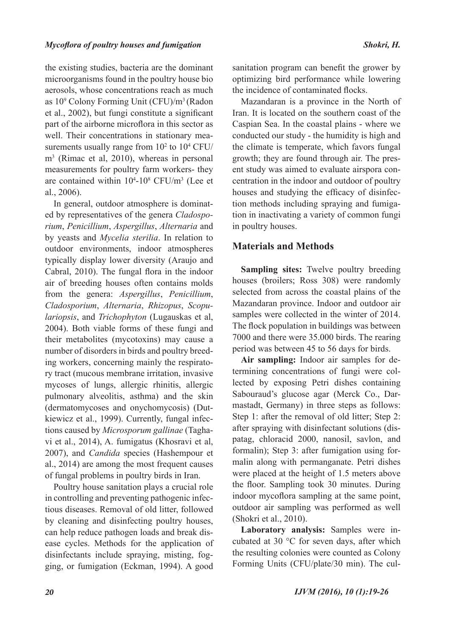the existing studies, bacteria are the dominant microorganisms found in the poultry house bio aerosols, whose concentrations reach as much as 10<sup>9</sup> Colony Forming Unit (CFU)/m<sup>3</sup> (Radon et al., 2002), but fungi constitute a significant part of the airborne microflora in this sector as well. Their concentrations in stationary measurements usually range from  $10<sup>2</sup>$  to  $10<sup>4</sup>$  CFU/ m3 (Rimac et al, 2010), whereas in personal measurements for poultry farm workers- they are contained within  $10^4$ -10<sup>8</sup> CFU/m<sup>3</sup> (Lee et al., 2006).

In general, outdoor atmosphere is dominated by representatives of the genera *Cladosporium*, *Penicillium*, *Aspergillus*, *Alternaria* and by yeasts and *Mycelia sterilia*. In relation to outdoor environments, indoor atmospheres typically display lower diversity (Araujo and Cabral, 2010). The fungal flora in the indoor air of breeding houses often contains molds from the genera: *Aspergillus*, *Penicillium*, *Cladosporium*, *Alternaria*, *Rhizopus*, *Scopulariopsis*, and *Trichophyton* (Lugauskas et al, 2004). Both viable forms of these fungi and their metabolites (mycotoxins) may cause a number of disorders in birds and poultry breeding workers, concerning mainly the respiratory tract (mucous membrane irritation, invasive mycoses of lungs, allergic rhinitis, allergic pulmonary alveolitis, asthma) and the skin (dermatomycoses and onychomycosis) (Dutkiewicz et al., 1999). Currently, fungal infections caused by *Microsporum gallinae* (Taghavi et al., 2014), A. fumigatus (Khosravi et al, 2007), and *Candida* species (Hashempour et al., 2014) are among the most frequent causes of fungal problems in poultry birds in Iran.

Poultry house sanitation plays a crucial role in controlling and preventing pathogenic infectious diseases. Removal of old litter, followed by cleaning and disinfecting poultry houses, can help reduce pathogen loads and break disease cycles. Methods for the application of disinfectants include spraying, misting, fogging, or fumigation (Eckman, 1994). A good

sanitation program can benefit the grower by optimizing bird performance while lowering the incidence of contaminated flocks.

Mazandaran is a province in the North of Iran. It is located on the southern coast of the Caspian Sea. In the coastal plains - where we conducted our study - the humidity is high and the climate is temperate, which favors fungal growth; they are found through air. The present study was aimed to evaluate airspora concentration in the indoor and outdoor of poultry houses and studying the efficacy of disinfection methods including spraying and fumigation in inactivating a variety of common fungi in poultry houses.

# **Materials and Methods**

**Sampling sites:** Twelve poultry breeding houses (broilers; Ross 308) were randomly selected from across the coastal plains of the Mazandaran province. Indoor and outdoor air samples were collected in the winter of 2014. The flock population in buildings was between 7000 and there were 35.000 birds. The rearing period was between 45 to 56 days for birds.

**Air sampling:** Indoor air samples for determining concentrations of fungi were collected by exposing Petri dishes containing Sabouraud's glucose agar (Merck Co., Darmastadt, Germany) in three steps as follows: Step 1: after the removal of old litter; Step 2: after spraying with disinfectant solutions (dispatag, chloracid 2000, nanosil, savlon, and formalin); Step 3: after fumigation using formalin along with permanganate. Petri dishes were placed at the height of 1.5 meters above the floor. Sampling took 30 minutes. During indoor mycoflora sampling at the same point, outdoor air sampling was performed as well (Shokri et al., 2010).

**Laboratory analysis:** Samples were incubated at 30 °C for seven days, after which the resulting colonies were counted as Colony Forming Units (CFU/plate/30 min). The cul-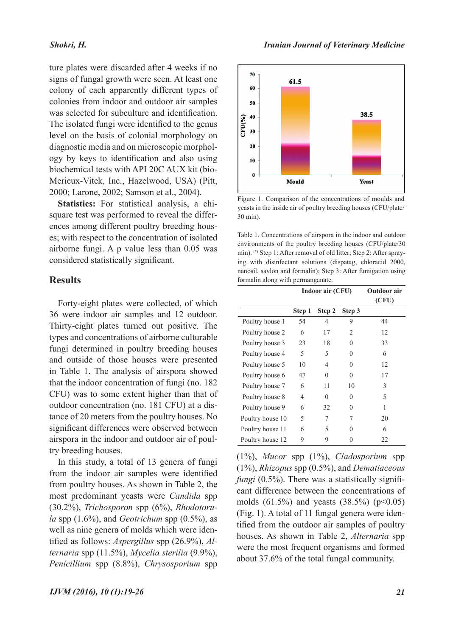#### *Shokri, H.*

ture plates were discarded after 4 weeks if no signs of fungal growth were seen. At least one colony of each apparently different types of colonies from indoor and outdoor air samples was selected for subculture and identification. The isolated fungi were identified to the genus level on the basis of colonial morphology on diagnostic media and on microscopic morphology by keys to identification and also using biochemical tests with API 20C AUX kit (bio-Merieux-Vitek, Inc., Hazelwood, USA) (Pitt, 2000; Larone, 2002; Samson et al., 2004).

**Statistics:** For statistical analysis, a chisquare test was performed to reveal the differences among different poultry breeding houses; with respect to the concentration of isolated airborne fungi. A p value less than 0.05 was considered statistically significant.

## **Results**

Forty-eight plates were collected, of which 36 were indoor air samples and 12 outdoor. Thirty-eight plates turned out positive. The types and concentrations of airborne culturable fungi determined in poultry breeding houses and outside of those houses were presented in Table 1. The analysis of airspora showed that the indoor concentration of fungi (no. 182 CFU) was to some extent higher than that of outdoor concentration (no. 181 CFU) at a distance of 20 meters from the poultry houses. No significant differences were observed between airspora in the indoor and outdoor air of poultry breeding houses.

In this study, a total of 13 genera of fungi from the indoor air samples were identified from poultry houses. As shown in Table 2, the most predominant yeasts were *Candida* spp (30.2%), *Trichosporon* spp (6%), *Rhodotorula* spp  $(1.6\%)$ , and *Geotrichum* spp  $(0.5\%)$ , as well as nine genera of molds which were identified as follows: *Aspergillus* spp (26.9%), *Alternaria* spp (11.5%), *Mycelia sterilia* (9.9%), *Penicillium* spp (8.8%), *Chrysosporium* spp



Figure 1. Comparison of the concentrations of moulds and yeasts in the inside air of poultry breeding houses (CFU/plate/ 30 min).

Table 1. Concentrations of airspora in the indoor and outdoor environments of the poultry breeding houses (CFU/plate/30 min). (\*) Step 1: After removal of old litter; Step 2: After spraying with disinfectant solutions (dispatag, chloracid 2000, nanosil, savlon and formalin); Step 3: After fumigation using formalin along with permanganate.

|                  |        | Indoor air (CFU) | Outdoor air<br>(CFU) |    |
|------------------|--------|------------------|----------------------|----|
|                  | Step 1 | Step 2           | Step 3               |    |
| Poultry house 1  | 54     | 4                | 9                    | 44 |
| Poultry house 2  | 6      | 17               | 2                    | 12 |
| Poultry house 3  | 23     | 18               | 0                    | 33 |
| Poultry house 4  | 5      | 5                | 0                    | 6  |
| Poultry house 5  | 10     | 4                | 0                    | 12 |
| Poultry house 6  | 47     | 0                | 0                    | 17 |
| Poultry house 7  | 6      | 11               | 10                   | 3  |
| Poultry house 8  | 4      | 0                | 0                    | 5  |
| Poultry house 9  | 6      | 32               | 0                    | 1  |
| Poultry house 10 | 5      | 7                | 7                    | 20 |
| Poultry house 11 | 6      | 5                | 0                    | 6  |
| Poultry house 12 | 9      | 9                |                      | 22 |

(1%), *Mucor* spp (1%), *Cladosporium* spp (1%), *Rhizopus* spp (0.5%), and *Dematiaceous fungi* (0.5%). There was a statistically significant difference between the concentrations of molds  $(61.5\%)$  and yeasts  $(38.5\%)$   $(p<0.05)$ (Fig. 1). A total of 11 fungal genera were identified from the outdoor air samples of poultry houses. As shown in Table 2, *Alternaria* spp were the most frequent organisms and formed about 37.6% of the total fungal community.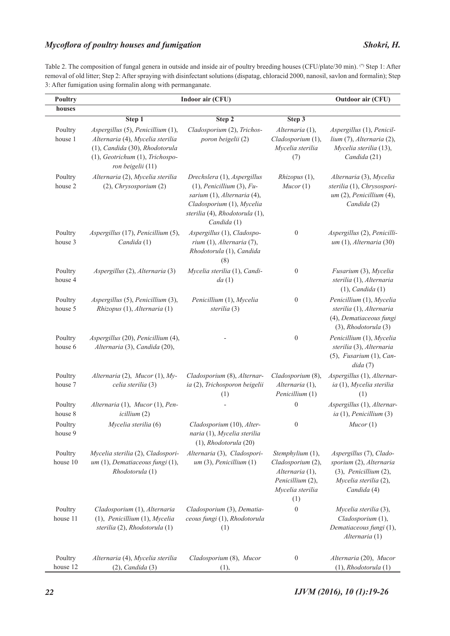## *Mycoflora of poultry houses and fumigation Shokri, H.*

Table 2. The composition of fungal genera in outside and inside air of poultry breeding houses (CFU/plate/30 min). (\*) Step 1: After removal of old litter; Step 2: After spraying with disinfectant solutions (dispatag, chloracid 2000, nanosil, savlon and formalin); Step 3: After fumigation using formalin along with permanganate.

| Poultry             | Indoor air (CFU)                                                                                                                                                | Outdoor air (CFU)                                                                                                                                                           |                                                                                                         |                                                                                                                           |
|---------------------|-----------------------------------------------------------------------------------------------------------------------------------------------------------------|-----------------------------------------------------------------------------------------------------------------------------------------------------------------------------|---------------------------------------------------------------------------------------------------------|---------------------------------------------------------------------------------------------------------------------------|
| houses              |                                                                                                                                                                 |                                                                                                                                                                             |                                                                                                         |                                                                                                                           |
|                     | Step 1                                                                                                                                                          | Step 2                                                                                                                                                                      | Step 3                                                                                                  |                                                                                                                           |
| Poultry<br>house 1  | Aspergillus (5), Penicillium (1),<br>Alternaria (4), Mycelia sterilia<br>(1), Candida (30), Rhodotorula<br>(1), Geotrichum (1), Trichospo-<br>ron beigelii (11) | Cladosporium (2), Trichos-<br>poron beigelii (2)                                                                                                                            | Alternaria (1),<br>Cladosporium (1),<br>Mycelia sterilia<br>(7)                                         | Aspergillus (1), Penicil-<br>lium (7), Alternaria (2),<br>Mycelia sterilia (13),<br>Candida (21)                          |
| Poultry<br>house 2  | Alternaria (2), Mycelia sterilia<br>(2), Chrysosporium (2)                                                                                                      | Drechslera (1), Aspergillus<br>$(1)$ , Penicillium $(3)$ , Fu-<br>sarium (1), Alternaria (4),<br>Cladosporium (1), Mycelia<br>sterilia (4), Rhodotorula (1),<br>Candida (1) | Rhizopus (1),<br>Mucor(1)                                                                               | Alternaria (3), Mycelia<br>sterilia (1), Chrysospori-<br>$um(2)$ , Penicillium $(4)$ ,<br>Candida (2)                     |
| Poultry<br>house 3  | Aspergillus (17), Penicillium (5),<br>Candida (1)                                                                                                               | Aspergillus (1), Cladospo-<br>rium (1), Alternaria (7),<br>Rhodotorula (1), Candida<br>(8)                                                                                  | $\boldsymbol{0}$                                                                                        | Aspergillus (2), Penicilli-<br>$um(1),$ Alternaria (30)                                                                   |
| Poultry<br>house 4  | Aspergillus (2), Alternaria (3)                                                                                                                                 | Mycelia sterilia (1), Candi-<br>da(1)                                                                                                                                       | $\boldsymbol{0}$                                                                                        | Fusarium (3), Mycelia<br>sterilia (1), Alternaria<br>$(1)$ , Candida $(1)$                                                |
| Poultry<br>house 5  | Aspergillus (5), Penicillium (3),<br>Rhizopus (1), Alternaria (1)                                                                                               | Penicillium (1), Mycelia<br>sterilia (3)                                                                                                                                    | $\boldsymbol{0}$                                                                                        | Penicillium (1), Mycelia<br>sterilia (1), Alternaria<br>(4), Dematiaceous fungi<br>$(3)$ , Rhodotorula $(3)$              |
| Poultry<br>house 6  | Aspergillus (20), Penicillium (4),<br>Alternaria (3), Candida (20),                                                                                             |                                                                                                                                                                             | $\boldsymbol{0}$                                                                                        | Penicillium (1), Mycelia<br>sterilia (3), Alternaria<br>$(5)$ , Fusarium $(1)$ , Can-<br>dida(7)                          |
| Poultry<br>house 7  | Alternaria (2), Mucor (1), My-<br>celia sterilia (3)                                                                                                            | Cladosporium (8), Alternar-<br>ia (2), Trichosporon beigelii<br>(1)                                                                                                         | Cladosporium (8),<br>Alternaria (1),<br>Penicillium (1)                                                 | Aspergillus (1), Alternar-<br>ia (1), Mycelia sterilia<br>(1)                                                             |
| Poultry<br>house 8  | Alternaria (1), Mucor (1), Pen-<br>icillium (2)                                                                                                                 |                                                                                                                                                                             | $\mathbf{0}$                                                                                            | Aspergillus (1), Alternar-<br>ia $(1)$ , Penicillium $(3)$                                                                |
| Poultry<br>house 9  | Mycelia sterilia (6)                                                                                                                                            | Cladosporium (10), Alter-<br>naria (1), Mycelia sterilia<br>$(1)$ , Rhodotorula $(20)$                                                                                      | $\boldsymbol{0}$                                                                                        | Mucor(1)                                                                                                                  |
| Poultry<br>house 10 | Mycelia sterilia (2), Cladospori-<br>um (1), Dematiaceous fungi (1),<br>Rhodotorula (1)                                                                         | Alternaria (3), Cladospori-<br>um(3), Penicillium(1)                                                                                                                        | Stemphylium (1),<br>Cladosporium (2),<br>Alternaria (1),<br>Penicillium (2),<br>Mycelia sterilia<br>(1) | Aspergillus (7), Clado-<br>sporium (2), Alternaria<br>$(3)$ , Penicillium $(2)$ ,<br>Mycelia sterilia (2),<br>Candida (4) |
| Poultry<br>house 11 | Cladosporium (1), Alternaria<br>(1), Penicillium (1), Mycelia<br>sterilia (2), Rhodotorula (1)                                                                  | Cladosporium (3), Dematia-<br>ceous fungi (1), Rhodotorula<br>(1)                                                                                                           | $\boldsymbol{0}$                                                                                        | Mycelia sterilia (3),<br>Cladosporium (1),<br>Dematiaceous fungi (1),<br>Alternaria (1)                                   |
| Poultry<br>house 12 | Alternaria (4), Mycelia sterilia<br>$(2)$ , Candida $(3)$                                                                                                       | Cladosporium (8), Mucor<br>(1),                                                                                                                                             | $\boldsymbol{0}$                                                                                        | Alternaria (20), Mucor<br>$(1)$ , Rhodotorula $(1)$                                                                       |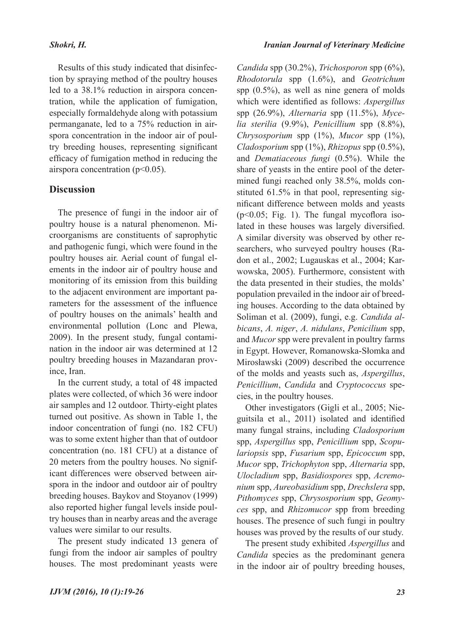#### *Shokri, H.*

Results of this study indicated that disinfection by spraying method of the poultry houses led to a 38.1% reduction in airspora concentration, while the application of fumigation, especially formaldehyde along with potassium permanganate, led to a 75% reduction in airspora concentration in the indoor air of poultry breeding houses, representing significant efficacy of fumigation method in reducing the airspora concentration (p<0.05).

## **Discussion**

The presence of fungi in the indoor air of poultry house is a natural phenomenon. Microorganisms are constituents of saprophytic and pathogenic fungi, which were found in the poultry houses air. Aerial count of fungal elements in the indoor air of poultry house and monitoring of its emission from this building to the adjacent environment are important parameters for the assessment of the influence of poultry houses on the animals' health and environmental pollution (Lonc and Plewa, 2009). In the present study, fungal contamination in the indoor air was determined at 12 poultry breeding houses in Mazandaran province, Iran.

In the current study, a total of 48 impacted plates were collected, of which 36 were indoor air samples and 12 outdoor. Thirty-eight plates turned out positive. As shown in Table 1, the indoor concentration of fungi (no. 182 CFU) was to some extent higher than that of outdoor concentration (no. 181 CFU) at a distance of 20 meters from the poultry houses. No significant differences were observed between airspora in the indoor and outdoor air of poultry breeding houses. Baykov and Stoyanov (1999) also reported higher fungal levels inside poultry houses than in nearby areas and the average values were similar to our results.

The present study indicated 13 genera of fungi from the indoor air samples of poultry houses. The most predominant yeasts were

*Candida* spp (30.2%), *Trichosporon* spp (6%), *Rhodotorula* spp (1.6%), and *Geotrichum* spp (0.5%), as well as nine genera of molds which were identified as follows: *Aspergillus* spp (26.9%), *Alternaria* spp (11.5%), *Mycelia sterilia* (9.9%), *Penicillium* spp (8.8%), *Chrysosporium* spp (1%), *Mucor* spp (1%), *Cladosporium* spp (1%), *Rhizopus* spp (0.5%), and *Dematiaceous fungi* (0.5%). While the share of yeasts in the entire pool of the determined fungi reached only 38.5%, molds constituted 61.5% in that pool, representing significant difference between molds and yeasts (p<0.05; Fig. 1). The fungal mycoflora isolated in these houses was largely diversified. A similar diversity was observed by other researchers, who surveyed poultry houses (Radon et al., 2002; Lugauskas et al., 2004; Karwowska, 2005). Furthermore, consistent with the data presented in their studies, the molds' population prevailed in the indoor air of breeding houses. According to the data obtained by Soliman et al. (2009), fungi, e.g. *Candida albicans*, *A. niger*, *A. nidulans*, *Penicilium* spp, and *Mucor* spp were prevalent in poultry farms in Egypt. However, Romanowska-Słomka and Mirosławski (2009) described the occurrence of the molds and yeasts such as, *Aspergillus*, *Penicillium*, *Candida* and *Cryptococcus* species, in the poultry houses.

Other investigators (Gigli et al., 2005; Nieguitsila et al., 2011) isolated and identified many fungal strains, including *Cladosporium* spp, *Aspergillus* spp, *Penicillium* spp, *Scopulariopsis* spp, *Fusarium* spp, *Epicoccum* spp, *Mucor* spp, *Trichophyton* spp, *Alternaria* spp, *Ulocladium* spp, *Basidiospores* spp, *Acremonium* spp, *Aureobasidium* spp, *Drechslera* spp, *Pithomyces* spp, *Chrysosporium* spp, *Geomyces* spp, and *Rhizomucor* spp from breeding houses. The presence of such fungi in poultry houses was proved by the results of our study.

The present study exhibited *Aspergillus* and *Candida* species as the predominant genera in the indoor air of poultry breeding houses,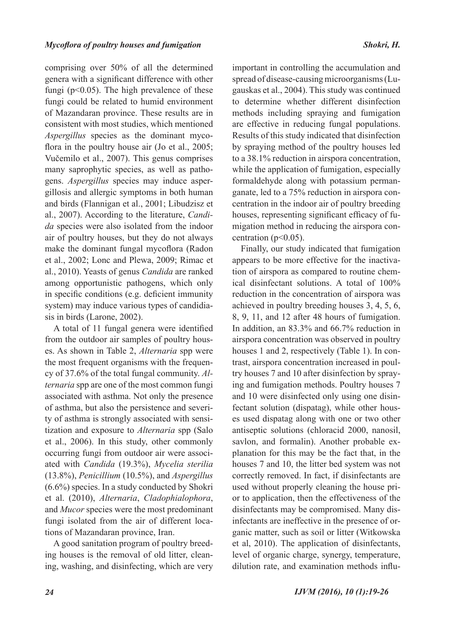comprising over 50% of all the determined genera with a significant difference with other fungi ( $p<0.05$ ). The high prevalence of these fungi could be related to humid environment of Mazandaran province. These results are in consistent with most studies, which mentioned *Aspergillus* species as the dominant mycoflora in the poultry house air (Jo et al., 2005; Vučemilo et al., 2007). This genus comprises many saprophytic species, as well as pathogens. *Aspergillus* species may induce aspergillosis and allergic symptoms in both human and birds (Flannigan et al., 2001; Libudzisz et al., 2007). According to the literature, *Candida* species were also isolated from the indoor air of poultry houses, but they do not always make the dominant fungal mycoflora (Radon et al., 2002; Lonc and Plewa, 2009; Rimac et al., 2010). Yeasts of genus *Candida* are ranked among opportunistic pathogens, which only in specific conditions (e.g. deficient immunity system) may induce various types of candidiasis in birds (Larone, 2002).

A total of 11 fungal genera were identified from the outdoor air samples of poultry houses. As shown in Table 2, *Alternaria* spp were the most frequent organisms with the frequency of 37.6% of the total fungal community. *Alternaria* spp are one of the most common fungi associated with asthma. Not only the presence of asthma, but also the persistence and severity of asthma is strongly associated with sensitization and exposure to *Alternaria* spp (Salo et al., 2006). In this study, other commonly occurring fungi from outdoor air were associated with *Candida* (19.3%), *Mycelia sterilia* (13.8%), *Penicillium* (10.5%), and *Aspergillus* (6.6%) species. In a study conducted by Shokri et al. (2010), *Alternaria*, *Cladophialophora*, and *Mucor* species were the most predominant fungi isolated from the air of different locations of Mazandaran province, Iran.

A good sanitation program of poultry breeding houses is the removal of old litter, cleaning, washing, and disinfecting, which are very important in controlling the accumulation and spread of disease-causing microorganisms (Lugauskas et al., 2004). This study was continued to determine whether different disinfection methods including spraying and fumigation are effective in reducing fungal populations. Results of this study indicated that disinfection by spraying method of the poultry houses led to a 38.1% reduction in airspora concentration, while the application of fumigation, especially formaldehyde along with potassium permanganate, led to a 75% reduction in airspora concentration in the indoor air of poultry breeding houses, representing significant efficacy of fumigation method in reducing the airspora concentration ( $p<0.05$ ).

Finally, our study indicated that fumigation appears to be more effective for the inactivation of airspora as compared to routine chemical disinfectant solutions. A total of 100% reduction in the concentration of airspora was achieved in poultry breeding houses 3, 4, 5, 6, 8, 9, 11, and 12 after 48 hours of fumigation. In addition, an 83.3% and 66.7% reduction in airspora concentration was observed in poultry houses 1 and 2, respectively (Table 1). In contrast, airspora concentration increased in poultry houses 7 and 10 after disinfection by spraying and fumigation methods. Poultry houses 7 and 10 were disinfected only using one disinfectant solution (dispatag), while other houses used dispatag along with one or two other antiseptic solutions (chloracid 2000, nanosil, savlon, and formalin). Another probable explanation for this may be the fact that, in the houses 7 and 10, the litter bed system was not correctly removed. In fact, if disinfectants are used without properly cleaning the house prior to application, then the effectiveness of the disinfectants may be compromised. Many disinfectants are ineffective in the presence of organic matter, such as soil or litter (Witkowska et al, 2010). The application of disinfectants, level of organic charge, synergy, temperature, dilution rate, and examination methods influ-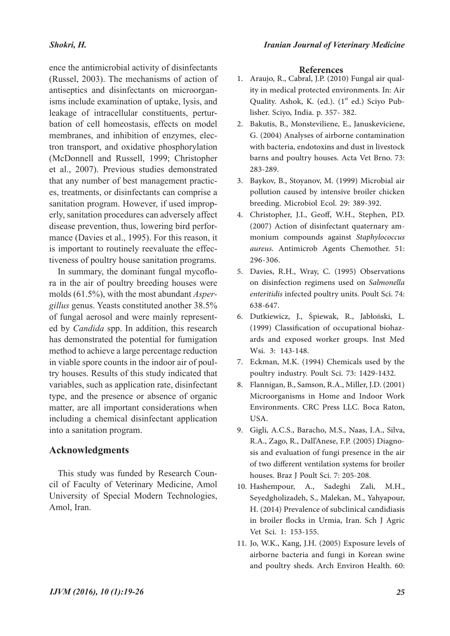## *Shokri, H.*

ence the antimicrobial activity of disinfectants (Russel, 2003). The mechanisms of action of antiseptics and disinfectants on microorganisms include examination of uptake, lysis, and leakage of intracellular constituents, perturbation of cell homeostasis, effects on model membranes, and inhibition of enzymes, electron transport, and oxidative phosphorylation (McDonnell and Russell, 1999; Christopher et al., 2007). Previous studies demonstrated that any number of best management practices, treatments, or disinfectants can comprise a sanitation program. However, if used improperly, sanitation procedures can adversely affect disease prevention, thus, lowering bird performance (Davies et al., 1995). For this reason, it is important to routinely reevaluate the effectiveness of poultry house sanitation programs.

In summary, the dominant fungal mycoflora in the air of poultry breeding houses were molds (61.5%), with the most abundant *Aspergillus* genus. Yeasts constituted another 38.5% of fungal aerosol and were mainly represented by *Candida* spp. In addition, this research has demonstrated the potential for fumigation method to achieve a large percentage reduction in viable spore counts in the indoor air of poultry houses. Results of this study indicated that variables, such as application rate, disinfectant type, and the presence or absence of organic matter, are all important considerations when including a chemical disinfectant application into a sanitation program.

# **Acknowledgments**

This study was funded by Research Council of Faculty of Veterinary Medicine, Amol University of Special Modern Technologies, Amol, Iran.

### **References**

- ity in medical protected environments. In: Air Quality. Ashok, K. (ed.). (1<sup>st</sup> ed.) Sciyo Pub-<br>lisher. Sciyo, India. p. 357- 382. 1. Araujo, R., Cabral, J.P. (2010) Fungal air qual-
- Bakutis, B., Monsteviliene, E., Januskeviciene, 2. G. (2004) Analyses of airborne contamination with bacteria, endotoxins and dust in livestock barns and poultry houses. Acta Vet Brno. 73: 283-289.
- 3. Baykov, B., Stoyanov, M. (1999) Microbial air pollution caused by intensive broiler chicken breeding. Microbiol Ecol. 29: 389-392.
- Christopher, J.I., Geoff, W.H., Stephen, P.D. 4. (2007) Action of disinfectant quaternary ammonium compounds against *Staphylococcus aureus*. Antimicrob Agents Chemother. 51: 296-306.
- Davies, R.H., Wray, C. (1995) Observations 5. on disinfection regimens used on *Salmonella enteritidis* infected poultry units. Poult Sci. 74: 638-647.
- Dutkiewicz, J., Śpiewak, R., Jabłoński, L. 6. (1999) Classification of occupational biohaz- ards and exposed worker groups. Inst Med Wsi. 3: 143-148.
- Eckman, M.K. (1994) Chemicals used by the 7. poultry industry. Poult Sci. 73: 1429-1432.
- Flannigan, B., Samson, R.A., Miller, J.D. (2001) 8. Microorganisms in Home and Indoor Work Environments. CRC Press LLC. Boca Raton, USA.
- Gigli, A.C.S., Baracho, M.S., Naas, I.A., Silva, 9. R.A., Zago, R., Dall'Anese, F.P. (2005) Diagnosis and evaluation of fungi presence in the air of two different ventilation systems for broiler houses. Braz J Poult Sci. 7: 205-208.
- 10. Hashempour, A., Sadeghi Zali, M.H., Seyedgholizadeh, S., Malekan, M., Yahyapour, H. (2014) Prevalence of subclinical candidiasis in broiler flocks in Urmia, Iran. Sch J Agric Vet Sci. 1: 153-155.
- 11. Jo, W.K., Kang, J.H. (2005) Exposure levels of airborne bacteria and fungi in Korean swine and poultry sheds. Arch Environ Health. 60: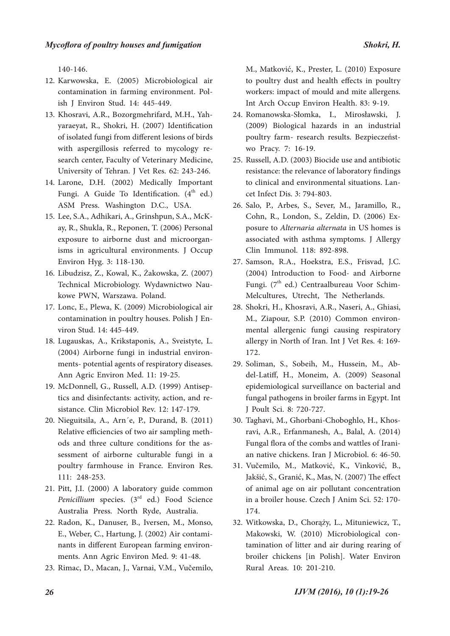140-146.

- 12. Karwowska, E. (2005) Microbiological air contamination in farming environment. Pol- ish J Environ Stud. 14: 445-449.
- Khosravi, A.R., Bozorgmehrifard, M.H., Yah- yaraeyat, R., Shokri, H. (2007) Identification 13. of isolated fungi from different lesions of birds with aspergillosis referred to mycology re- search center, Faculty of Veterinary Medicine, University of Tehran. J Vet Res. 62: 243-246.
- Larone, D.H. (2002) Medically Important 14. Fungi. A Guide To Identification.  $(4<sup>th</sup>$  ed.) ASM Press. Washington D.C., USA.
- ay, R., Shukla, R., Reponen, T. (2006) Personal exposure to airborne dust and microorgan- isms in agricultural environments. J Occup Environ Hyg. 3: 118-130. 15. Lee, S.A., Adhikari, A., Grinshpun, S.A., McK-
- Libudzisz, Z., Kowal, K., Żakowska, Z. (2007) 16. Technical Microbiology. Wydawnictwo Nau- kowe PWN, Warszawa. Poland.
- 17. Lonc, E., Plewa, K. (2009) Microbiological air contamination in poultry houses. Polish J En- viron Stud. 14: 445-449.
- Lugauskas, A., Krikstaponis, A., Sveistyte, L. 18. (2004) Airborne fungi in industrial environ- ments- potential agents of respiratory diseases. Ann Agric Environ Med. 11: 19-25.
- tics and disinfectants: activity, action, and resistance. Clin Microbiol Rev. 12: 147-179. 19. McDonnell, G., Russell, A.D. (1999) Antisep-
- Nieguitsila, A., Arn´e, P., Durand, B. (2011) 20. Relative efficiencies of two air sampling methods and three culture conditions for the as- sessment of airborne culturable fungi in a poultry farmhouse in France. Environ Res. 111: 248-253.
- Pitt, J.I. (2000) A laboratory guide common 21. Penicillium species. (3<sup>rd</sup> ed.) Food Science Australia Press. North Ryde, Australia.
- 22. Radon, K., Danuser, B., Iversen, M., Monso, E., Weber, C., Hartung, J. (2002) Air contami- nants in different European farming environ- ments. Ann Agric Environ Med. 9: 41-48.
- 23. Rimac, D., Macan, J., Varnai, V.M., Vučemilo,

M., Matković, K., Prester, L. (2010) Exposure to poultry dust and health effects in poultry workers: impact of mould and mite allergens. Int Arch Occup Environ Health. 83: 9-19.

- Romanowska-Słomka, I., Mirosławski, J. 24. (2009) Biological hazards in an industrial poultry farm- research results. Bezpieczeńst- wo Pracy. 7: 16-19.
- 25. Russell, A.D. (2003) Biocide use and antibiotic resistance: the relevance of laboratory findings to clinical and environmental situations. Lan-<br>cet Infect Dis. 3: 794-803.
- 26. Salo, P., Arbes, S., Sever, M., Jaramillo, R., Cohn, R., London, S., Zeldin, D. (2006) Ex- posure to *Alternaria alternata* in US homes is associated with asthma symptoms. J Allergy Clin Immunol. 118: 892-898.
- 27. Samson, R.A., Hoekstra, E.S., Frisvad, J.C. (2004) Introduction to Food- and Airborne Fungi. (7<sup>th</sup> ed.) Centraalbureau Voor Schim-<br>Melcultures, Utrecht, The Netherlands.
- 28. Shokri, H., Khosravi, A.R., Naseri, A., Ghiasi, M., Ziapour, S.P. (2010) Common environ- mental allergenic fungi causing respiratory allergy in North of Iran. Int J Vet Res. 4: 169- 172.
- del-Latiff, H., Moneim, A. (2009) Seasonal epidemiological surveillance on bacterial and fungal pathogens in broiler farms in Egypt. Int J Poult Sci. 8: 720-727. 29. Soliman, S., Sobeih, M., Hussein, M., Ab-
- Taghavi, M., Ghorbani-Choboghlo, H., Khos-30. ravi, A.R., Erfanmanesh, A., Balal, A. (2014) Fungal flora of the combs and wattles of Irani- an native chickens. Iran J Microbiol. 6: 46-50.
- 31. Vučemilo, M., Matković, K., Vinković, B., Jakšić, S., Granić, K., Mas, N. (2007) The effect of animal age on air pollutant concentration in a broiler house. Czech J Anim Sci. 52: 170- 174.
- Witkowska, D., Chorąży, L., Mituniewicz, T., 32. Makowski, W. (2010) Microbiological contamination of litter and air during rearing of broiler chickens [in Polish]. Water Environ Rural Areas. 10: 201-210.